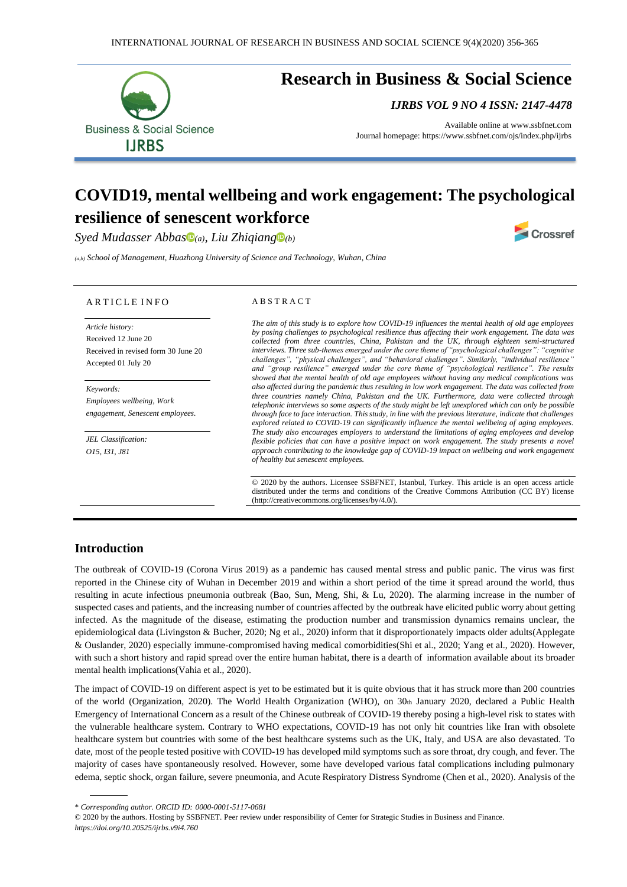

# **Research in Business & Social Science**

*IJRBS VOL 9 NO 4 ISSN: 2147-4478*

Crossref

Available online a[t www.ssbfnet.com](http://www.ssbfnet.com/) Journal homepage: https://www.ssbfnet.com/ojs/index.php/ijrbs

# **COVID19, mental wellbeing and work engagement: The psychological resilience of senescent workforce**

*Syed Mudasser Abbas (a), Liu Zhiqiang [\(](https://orcid.org/0000-0001-5117-0681)b)*

*(a,b) School of Management, Huazhong University of Science and Technology, Wuhan, China*

#### A R T I C L E I N F O

*Article history:*  Received 12 June 20 Received in revised form 30 June 20 Accepted 01 July 20

*Keywords: Employees wellbeing, Work engagement, Senescent employees.*

*JEL Classification: O15, I31, J81*

#### A B S T R A C T

*The aim of this study is to explore how COVID-19 influences the mental health of old age employees by posing challenges to psychological resilience thus affecting their work engagement. The data was collected from three countries, China, Pakistan and the UK, through eighteen semi-structured interviews. Three sub-themes emerged under the core theme of "psychological challenges": "cognitive challenges", "physical challenges", and "behavioral challenges". Similarly, "individual resilience" and "group resilience" emerged under the core theme of "psychological resilience". The results showed that the mental health of old age employees without having any medical complications was also affected during the pandemic thus resulting in low work engagement. The data was collected from three countries namely China, Pakistan and the UK. Furthermore, data were collected through telephonic interviews so some aspects of the study might be left unexplored which can only be possible through face to face interaction. This study, in line with the previous literature, indicate that challenges explored related to COVID-19 can significantly influence the mental wellbeing of aging employees. The study also encourages employers to understand the limitations of aging employees and develop flexible policies that can have a positive impact on work engagement. The study presents a novel approach contributing to the knowledge gap of COVID-19 impact on wellbeing and work engagement of healthy but senescent employees.*

© 2020 by the authors. Licensee SSBFNET, Istanbul, Turkey. This article is an open access article distributed under the terms and conditions of the Creative Commons Attribution (CC BY) license (http://creativecommons.org/licenses/by/4.0/).

## **Introduction**

The outbreak of COVID-19 (Corona Virus 2019) as a pandemic has caused mental stress and public panic. The virus was first reported in the Chinese city of Wuhan in December 2019 and within a short period of the time it spread around the world, thus resulting in acute infectious pneumonia outbreak (Bao, Sun, Meng, Shi, & Lu, 2020). The alarming increase in the number of suspected cases and patients, and the increasing number of countries affected by the outbreak have elicited public worry about getting infected. As the magnitude of the disease, estimating the production number and transmission dynamics remains unclear, the epidemiological data (Livingston & Bucher, 2020; Ng et al., 2020) inform that it disproportionately impacts older adults(Applegate & Ouslander, 2020) especially immune-compromised having medical comorbidities(Shi et al., 2020; Yang et al., 2020). However, with such a short history and rapid spread over the entire human habitat, there is a dearth of information available about its broader mental health implications(Vahia et al., 2020).

The impact of COVID-19 on different aspect is yet to be estimated but it is quite obvious that it has struck more than 200 countries of the world (Organization, 2020). The World Health Organization (WHO), on 30th January 2020, declared a Public Health Emergency of International Concern as a result of the Chinese outbreak of COVID-19 thereby posing a high-level risk to states with the vulnerable healthcare system. Contrary to WHO expectations, COVID-19 has not only hit countries like Iran with obsolete healthcare system but countries with some of the best healthcare systems such as the UK, Italy, and USA are also devastated. To date, most of the people tested positive with COVID-19 has developed mild symptoms such as sore throat, dry cough, and fever. The majority of cases have spontaneously resolved. However, some have developed various fatal complications including pulmonary edema, septic shock, organ failure, severe pneumonia, and Acute Respiratory Distress Syndrome (Chen et al., 2020). Analysis of the

\* *Corresponding author. ORCID ID: 0000-0001-5117-0681*

© 2020 by the authors. Hosting by SSBFNET. Peer review under responsibility of Center for Strategic Studies in Business and Finance. *https://doi.org/10.20525/ijrbs.v9i4.760*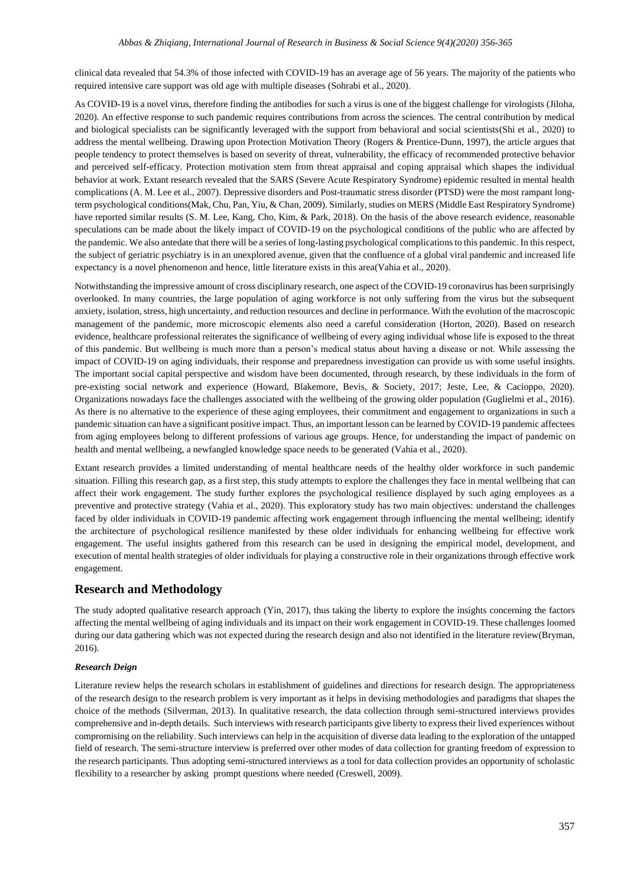clinical data revealed that 54.3% of those infected with COVID-19 has an average age of 56 years. The majority of the patients who required intensive care support was old age with multiple diseases (Sohrabi et al., 2020).

As COVID-19 is a novel virus, therefore finding the antibodies for such a virus is one of the biggest challenge for virologists (Jiloha, 2020). An effective response to such pandemic requires contributions from across the sciences. The central contribution by medical and biological specialists can be significantly leveraged with the support from behavioral and social scientists(Shi et al., 2020) to address the mental wellbeing. Drawing upon Protection Motivation Theory (Rogers & Prentice-Dunn, 1997), the article argues that people tendency to protect themselves is based on severity of threat, vulnerability, the efficacy of recommended protective behavior and perceived self-efficacy. Protection motivation stem from threat appraisal and coping appraisal which shapes the individual behavior at work. Extant research revealed that the SARS (Severe Acute Respiratory Syndrome) epidemic resulted in mental health complications (A. M. Lee et al., 2007). Depressive disorders and Post-traumatic stress disorder (PTSD) were the most rampant longterm psychological conditions(Mak, Chu, Pan, Yiu, & Chan, 2009). Similarly, studies on MERS (Middle East Respiratory Syndrome) have reported similar results (S. M. Lee, Kang, Cho, Kim, & Park, 2018). On the basis of the above research evidence, reasonable speculations can be made about the likely impact of COVID-19 on the psychological conditions of the public who are affected by the pandemic. We also antedate that there will be a series of long-lasting psychological complications to this pandemic. In this respect, the subject of geriatric psychiatry is in an unexplored avenue, given that the confluence of a global viral pandemic and increased life expectancy is a novel phenomenon and hence, little literature exists in this area(Vahia et al., 2020).

Notwithstanding the impressive amount of cross disciplinary research, one aspect of the COVID-19 coronavirus has been surprisingly overlooked. In many countries, the large population of aging workforce is not only suffering from the virus but the subsequent anxiety, isolation, stress, high uncertainty, and reduction resources and decline in performance. With the evolution of the macroscopic management of the pandemic, more microscopic elements also need a careful consideration (Horton, 2020). Based on research evidence, healthcare professional reiterates the significance of wellbeing of every aging individual whose life is exposed to the threat of this pandemic. But wellbeing is much more than a person's medical status about having a disease or not. While assessing the impact of COVID-19 on aging individuals, their response and preparedness investigation can provide us with some useful insights. The important social capital perspective and wisdom have been documented, through research, by these individuals in the form of pre-existing social network and experience (Howard, Blakemore, Bevis, & Society, 2017; Jeste, Lee, & Cacioppo, 2020). Organizations nowadays face the challenges associated with the wellbeing of the growing older population (Guglielmi et al., 2016). As there is no alternative to the experience of these aging employees, their commitment and engagement to organizations in such a pandemic situation can have a significant positive impact. Thus, an important lesson can be learned by COVID-19 pandemic affectees from aging employees belong to different professions of various age groups. Hence, for understanding the impact of pandemic on health and mental wellbeing, a newfangled knowledge space needs to be generated (Vahia et al., 2020).

Extant research provides a limited understanding of mental healthcare needs of the healthy older workforce in such pandemic situation. Filling this research gap, as a first step, this study attempts to explore the challenges they face in mental wellbeing that can affect their work engagement. The study further explores the psychological resilience displayed by such aging employees as a preventive and protective strategy (Vahia et al., 2020). This exploratory study has two main objectives: understand the challenges faced by older individuals in COVID-19 pandemic affecting work engagement through influencing the mental wellbeing; identify the architecture of psychological resilience manifested by these older individuals for enhancing wellbeing for effective work engagement. The useful insights gathered from this research can be used in designing the empirical model, development, and execution of mental health strategies of older individuals for playing a constructive role in their organizations through effective work engagement.

## **Research and Methodology**

The study adopted qualitative research approach (Yin, 2017), thus taking the liberty to explore the insights concerning the factors affecting the mental wellbeing of aging individuals and its impact on their work engagement in COVID-19. These challenges loomed during our data gathering which was not expected during the research design and also not identified in the literature review(Bryman, 2016).

#### *Research Deign*

Literature review helps the research scholars in establishment of guidelines and directions for research design. The appropriateness of the research design to the research problem is very important as it helps in devising methodologies and paradigms that shapes the choice of the methods (Silverman, 2013). In qualitative research, the data collection through semi-structured interviews provides comprehensive and in-depth details. Such interviews with research participants give liberty to express their lived experiences without compromising on the reliability. Such interviews can help in the acquisition of diverse data leading to the exploration of the untapped field of research. The semi-structure interview is preferred over other modes of data collection for granting freedom of expression to the research participants. Thus adopting semi-structured interviews as a tool for data collection provides an opportunity of scholastic flexibility to a researcher by asking prompt questions where needed (Creswell, 2009).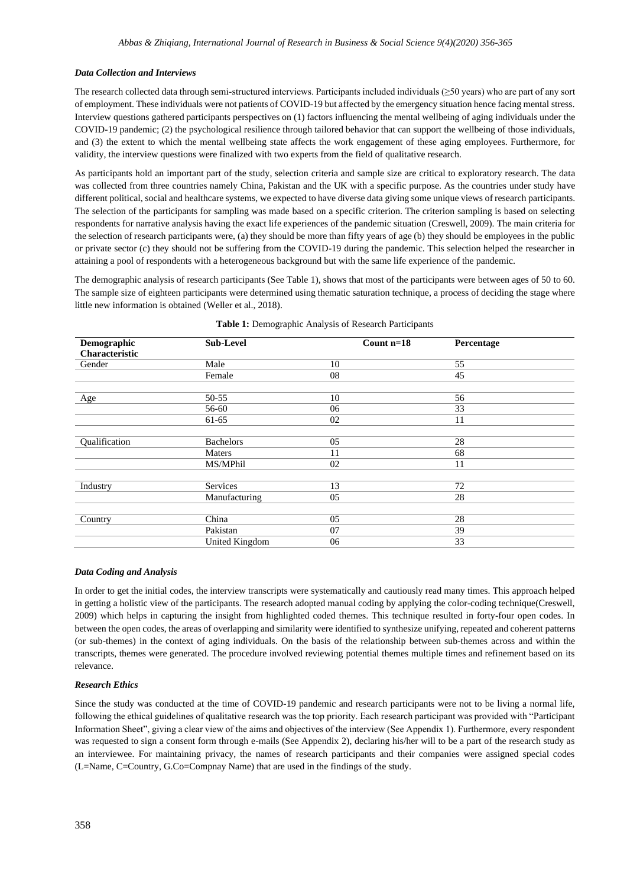#### *Data Collection and Interviews*

The research collected data through semi-structured interviews. Participants included individuals (≥50 years) who are part of any sort of employment. These individuals were not patients of COVID-19 but affected by the emergency situation hence facing mental stress. Interview questions gathered participants perspectives on (1) factors influencing the mental wellbeing of aging individuals under the COVID-19 pandemic; (2) the psychological resilience through tailored behavior that can support the wellbeing of those individuals, and (3) the extent to which the mental wellbeing state affects the work engagement of these aging employees. Furthermore, for validity, the interview questions were finalized with two experts from the field of qualitative research.

As participants hold an important part of the study, selection criteria and sample size are critical to exploratory research. The data was collected from three countries namely China, Pakistan and the UK with a specific purpose. As the countries under study have different political, social and healthcare systems, we expected to have diverse data giving some unique views of research participants. The selection of the participants for sampling was made based on a specific criterion. The criterion sampling is based on selecting respondents for narrative analysis having the exact life experiences of the pandemic situation (Creswell, 2009). The main criteria for the selection of research participants were, (a) they should be more than fifty years of age (b) they should be employees in the public or private sector (c) they should not be suffering from the COVID-19 during the pandemic. This selection helped the researcher in attaining a pool of respondents with a heterogeneous background but with the same life experience of the pandemic.

The demographic analysis of research participants (See Table 1), shows that most of the participants were between ages of 50 to 60. The sample size of eighteen participants were determined using thematic saturation technique, a process of deciding the stage where little new information is obtained (Weller et al., 2018).

| Demographic    | <b>Sub-Level</b>      | Count n=18 | Percentage |
|----------------|-----------------------|------------|------------|
| Characteristic |                       |            |            |
| Gender         | Male                  | 10         | 55         |
|                | Female                | 08         | 45         |
|                |                       |            |            |
| Age            | 50-55                 | 10         | 56         |
|                | 56-60                 | 06         | 33         |
|                | 61-65                 | 02         | 11         |
|                |                       |            |            |
| Qualification  | <b>Bachelors</b>      | 05         | 28         |
|                | Maters                | 11         | 68         |
|                | MS/MPhil              | 02         | 11         |
|                |                       |            |            |
| Industry       | Services              | 13         | 72         |
|                | Manufacturing         | 05         | 28         |
|                |                       |            |            |
| Country        | China                 | 05         | 28         |
|                | Pakistan              | 07         | 39         |
|                | <b>United Kingdom</b> | 06         | 33         |

| Table 1: Demographic Analysis of Research Participants |  |  |
|--------------------------------------------------------|--|--|
|                                                        |  |  |

### *Data Coding and Analysis*

In order to get the initial codes, the interview transcripts were systematically and cautiously read many times. This approach helped in getting a holistic view of the participants. The research adopted manual coding by applying the color-coding technique(Creswell, 2009) which helps in capturing the insight from highlighted coded themes. This technique resulted in forty-four open codes. In between the open codes, the areas of overlapping and similarity were identified to synthesize unifying, repeated and coherent patterns (or sub-themes) in the context of aging individuals. On the basis of the relationship between sub-themes across and within the transcripts, themes were generated. The procedure involved reviewing potential themes multiple times and refinement based on its relevance.

#### *Research Ethics*

Since the study was conducted at the time of COVID-19 pandemic and research participants were not to be living a normal life, following the ethical guidelines of qualitative research was the top priority. Each research participant was provided with "Participant Information Sheet", giving a clear view of the aims and objectives of the interview (See Appendix 1). Furthermore, every respondent was requested to sign a consent form through e-mails (See Appendix 2), declaring his/her will to be a part of the research study as an interviewee. For maintaining privacy, the names of research participants and their companies were assigned special codes (L=Name, C=Country, G.Co=Compnay Name) that are used in the findings of the study.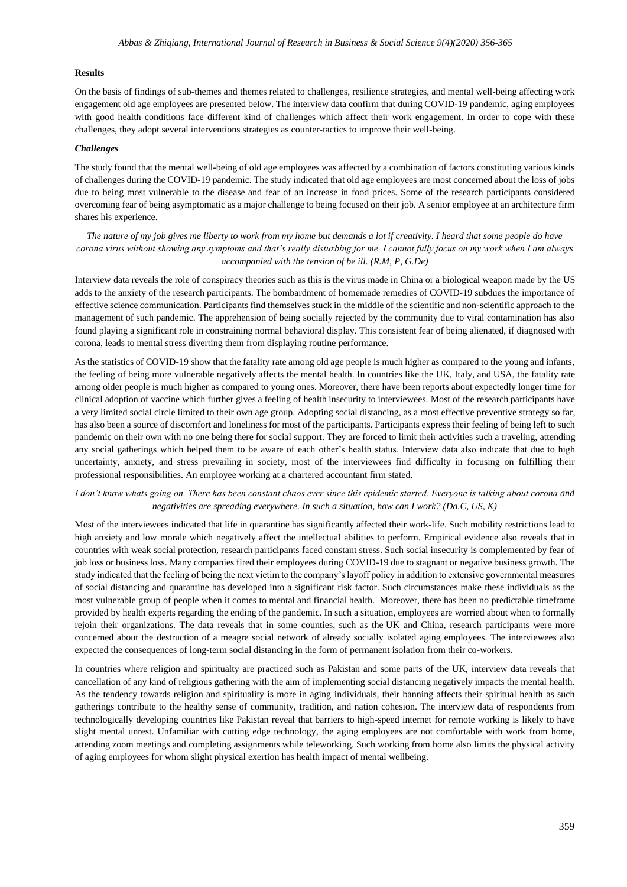#### **Results**

On the basis of findings of sub-themes and themes related to challenges, resilience strategies, and mental well-being affecting work engagement old age employees are presented below. The interview data confirm that during COVID-19 pandemic, aging employees with good health conditions face different kind of challenges which affect their work engagement. In order to cope with these challenges, they adopt several interventions strategies as counter-tactics to improve their well-being.

#### *Challenges*

The study found that the mental well-being of old age employees was affected by a combination of factors constituting various kinds of challenges during the COVID-19 pandemic. The study indicated that old age employees are most concerned about the loss of jobs due to being most vulnerable to the disease and fear of an increase in food prices. Some of the research participants considered overcoming fear of being asymptomatic as a major challenge to being focused on their job. A senior employee at an architecture firm shares his experience.

*The nature of my job gives me liberty to work from my home but demands a lot if creativity. I heard that some people do have corona virus without showing any symptoms and that's really disturbing for me. I cannot fully focus on my work when I am always accompanied with the tension of be ill. (R.M, P, G.De)*

Interview data reveals the role of conspiracy theories such as this is the virus made in China or a biological weapon made by the US adds to the anxiety of the research participants. The bombardment of homemade remedies of COVID-19 subdues the importance of effective science communication. Participants find themselves stuck in the middle of the scientific and non-scientific approach to the management of such pandemic. The apprehension of being socially rejected by the community due to viral contamination has also found playing a significant role in constraining normal behavioral display. This consistent fear of being alienated, if diagnosed with corona, leads to mental stress diverting them from displaying routine performance.

As the statistics of COVID-19 show that the fatality rate among old age people is much higher as compared to the young and infants, the feeling of being more vulnerable negatively affects the mental health. In countries like the UK, Italy, and USA, the fatality rate among older people is much higher as compared to young ones. Moreover, there have been reports about expectedly longer time for clinical adoption of vaccine which further gives a feeling of health insecurity to interviewees. Most of the research participants have a very limited social circle limited to their own age group. Adopting social distancing, as a most effective preventive strategy so far, has also been a source of discomfort and loneliness for most of the participants. Participants express their feeling of being left to such pandemic on their own with no one being there for social support. They are forced to limit their activities such a traveling, attending any social gatherings which helped them to be aware of each other's health status. Interview data also indicate that due to high uncertainty, anxiety, and stress prevailing in society, most of the interviewees find difficulty in focusing on fulfilling their professional responsibilities. An employee working at a chartered accountant firm stated.

### *I don't know whats going on. There has been constant chaos ever since this epidemic started. Everyone is talking about corona and negativities are spreading everywhere. In such a situation, how can I work? (Da.C, US, K)*

Most of the interviewees indicated that life in quarantine has significantly affected their work-life. Such mobility restrictions lead to high anxiety and low morale which negatively affect the intellectual abilities to perform. Empirical evidence also reveals that in countries with weak social protection, research participants faced constant stress. Such social insecurity is complemented by fear of job loss or business loss. Many companies fired their employees during COVID-19 due to stagnant or negative business growth. The study indicated that the feeling of being the next victim to the company's layoff policy in addition to extensive governmental measures of social distancing and quarantine has developed into a significant risk factor. Such circumstances make these individuals as the most vulnerable group of people when it comes to mental and financial health. Moreover, there has been no predictable timeframe provided by health experts regarding the ending of the pandemic. In such a situation, employees are worried about when to formally rejoin their organizations. The data reveals that in some counties, such as the UK and China, research participants were more concerned about the destruction of a meagre social network of already socially isolated aging employees. The interviewees also expected the consequences of long-term social distancing in the form of permanent isolation from their co-workers.

In countries where religion and spiritualty are practiced such as Pakistan and some parts of the UK, interview data reveals that cancellation of any kind of religious gathering with the aim of implementing social distancing negatively impacts the mental health. As the tendency towards religion and spirituality is more in aging individuals, their banning affects their spiritual health as such gatherings contribute to the healthy sense of community, tradition, and nation cohesion. The interview data of respondents from technologically developing countries like Pakistan reveal that barriers to high-speed internet for remote working is likely to have slight mental unrest. Unfamiliar with cutting edge technology, the aging employees are not comfortable with work from home, attending zoom meetings and completing assignments while teleworking. Such working from home also limits the physical activity of aging employees for whom slight physical exertion has health impact of mental wellbeing.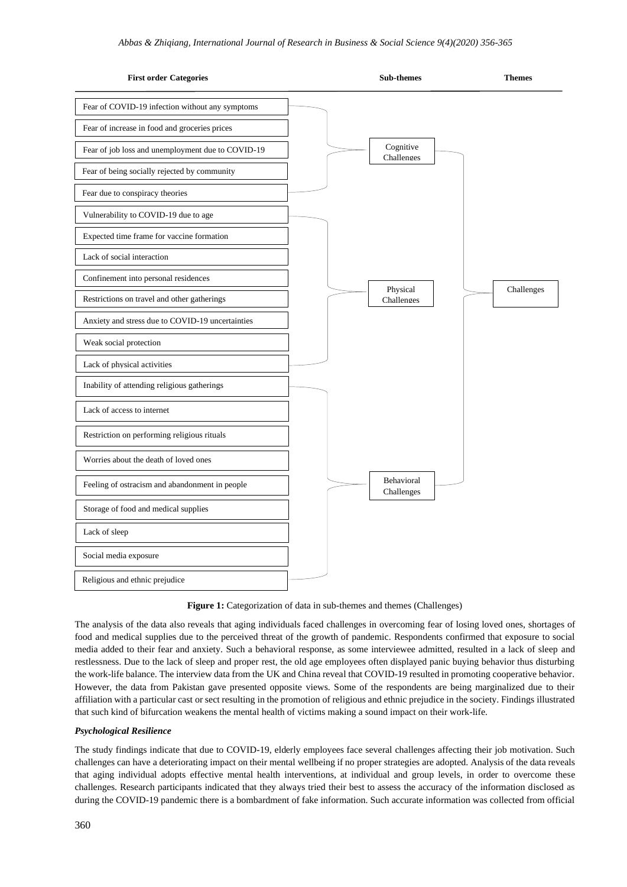

Figure 1: Categorization of data in sub-themes and themes (Challenges)

The analysis of the data also reveals that aging individuals faced challenges in overcoming fear of losing loved ones, shortages of food and medical supplies due to the perceived threat of the growth of pandemic. Respondents confirmed that exposure to social media added to their fear and anxiety. Such a behavioral response, as some interviewee admitted, resulted in a lack of sleep and restlessness. Due to the lack of sleep and proper rest, the old age employees often displayed panic buying behavior thus disturbing the work-life balance. The interview data from the UK and China reveal that COVID-19 resulted in promoting cooperative behavior. However, the data from Pakistan gave presented opposite views. Some of the respondents are being marginalized due to their affiliation with a particular cast or sect resulting in the promotion of religious and ethnic prejudice in the society. Findings illustrated that such kind of bifurcation weakens the mental health of victims making a sound impact on their work-life.

### *Psychological Resilience*

The study findings indicate that due to COVID-19, elderly employees face several challenges affecting their job motivation. Such challenges can have a deteriorating impact on their mental wellbeing if no proper strategies are adopted. Analysis of the data reveals that aging individual adopts effective mental health interventions, at individual and group levels, in order to overcome these challenges. Research participants indicated that they always tried their best to assess the accuracy of the information disclosed as during the COVID-19 pandemic there is a bombardment of fake information. Such accurate information was collected from official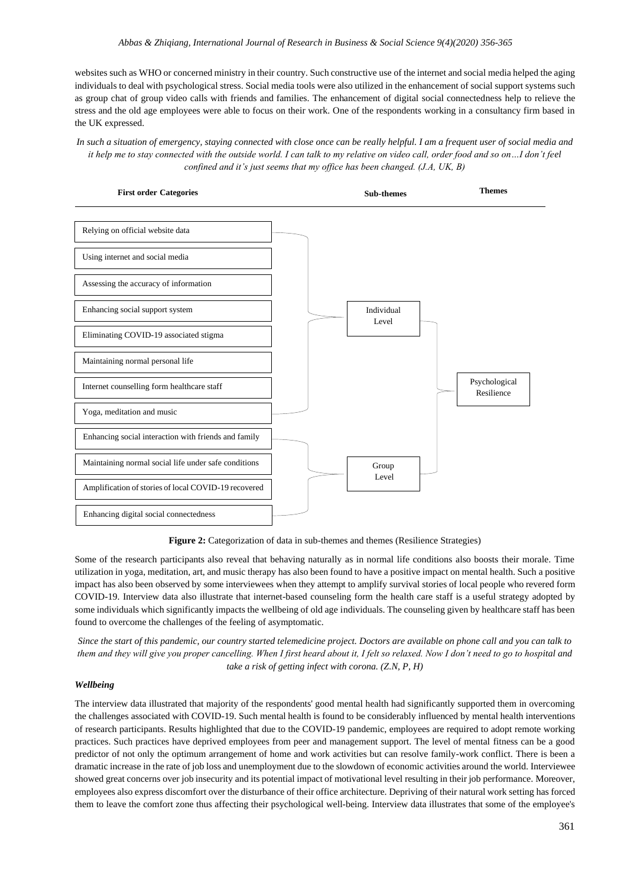websites such as WHO or concerned ministry in their country. Such constructive use of the internet and social media helped the aging individuals to deal with psychological stress. Social media tools were also utilized in the enhancement of social support systems such as group chat of group video calls with friends and families. The enhancement of digital social connectedness help to relieve the stress and the old age employees were able to focus on their work. One of the respondents working in a consultancy firm based in the UK expressed.

*In such a situation of emergency, staying connected with close once can be really helpful. I am a frequent user of social media and*  it help me to stay connected with the outside world. I can talk to my relative on video call, order food and so on...I don't feel *confined and it's just seems that my office has been changed. (J.A, UK, B)*



**Figure 2:** Categorization of data in sub-themes and themes (Resilience Strategies)

Some of the research participants also reveal that behaving naturally as in normal life conditions also boosts their morale. Time utilization in yoga, meditation, art, and music therapy has also been found to have a positive impact on mental health. Such a positive impact has also been observed by some interviewees when they attempt to amplify survival stories of local people who revered form COVID-19. Interview data also illustrate that internet-based counseling form the health care staff is a useful strategy adopted by some individuals which significantly impacts the wellbeing of old age individuals. The counseling given by healthcare staff has been found to overcome the challenges of the feeling of asymptomatic.

*Since the start of this pandemic, our country started telemedicine project. Doctors are available on phone call and you can talk to them and they will give you proper cancelling. When I first heard about it, I felt so relaxed. Now I don't need to go to hospital and take a risk of getting infect with corona. (Z.N, P, H)*

#### *Wellbeing*

The interview data illustrated that majority of the respondents' good mental health had significantly supported them in overcoming the challenges associated with COVID-19. Such mental health is found to be considerably influenced by mental health interventions of research participants. Results highlighted that due to the COVID-19 pandemic, employees are required to adopt remote working practices. Such practices have deprived employees from peer and management support. The level of mental fitness can be a good predictor of not only the optimum arrangement of home and work activities but can resolve family-work conflict. There is been a dramatic increase in the rate of job loss and unemployment due to the slowdown of economic activities around the world. Interviewee showed great concerns over job insecurity and its potential impact of motivational level resulting in their job performance. Moreover, employees also express discomfort over the disturbance of their office architecture. Depriving of their natural work setting has forced them to leave the comfort zone thus affecting their psychological well-being. Interview data illustrates that some of the employee's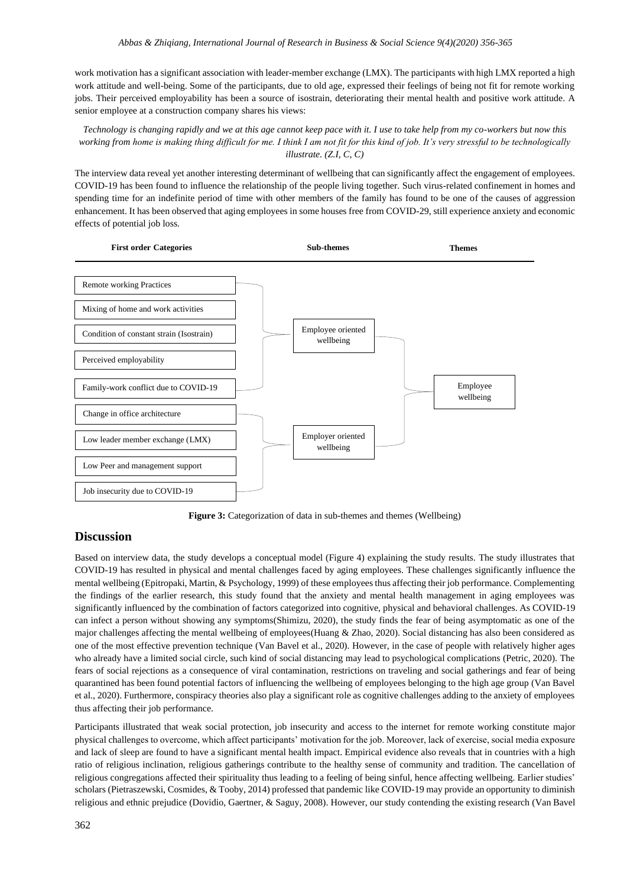work motivation has a significant association with leader-member exchange (LMX). The participants with high LMX reported a high work attitude and well-being. Some of the participants, due to old age, expressed their feelings of being not fit for remote working jobs. Their perceived employability has been a source of isostrain, deteriorating their mental health and positive work attitude. A senior employee at a construction company shares his views:

## *Technology is changing rapidly and we at this age cannot keep pace with it. I use to take help from my co-workers but now this working from home is making thing difficult for me. I think I am not fit for this kind of job. It's very stressful to be technologically illustrate. (Z.I, C, C)*

The interview data reveal yet another interesting determinant of wellbeing that can significantly affect the engagement of employees. COVID-19 has been found to influence the relationship of the people living together. Such virus-related confinement in homes and spending time for an indefinite period of time with other members of the family has found to be one of the causes of aggression enhancement. It has been observed that aging employees in some houses free from COVID-29, still experience anxiety and economic effects of potential job loss.



**Figure 3:** Categorization of data in sub-themes and themes (Wellbeing)

# **Discussion**

Based on interview data, the study develops a conceptual model (Figure 4) explaining the study results. The study illustrates that COVID-19 has resulted in physical and mental challenges faced by aging employees. These challenges significantly influence the mental wellbeing (Epitropaki, Martin, & Psychology, 1999) of these employees thus affecting their job performance. Complementing the findings of the earlier research, this study found that the anxiety and mental health management in aging employees was significantly influenced by the combination of factors categorized into cognitive, physical and behavioral challenges. As COVID-19 can infect a person without showing any symptoms(Shimizu, 2020), the study finds the fear of being asymptomatic as one of the major challenges affecting the mental wellbeing of employees(Huang & Zhao, 2020). Social distancing has also been considered as one of the most effective prevention technique (Van Bavel et al., 2020). However, in the case of people with relatively higher ages who already have a limited social circle, such kind of social distancing may lead to psychological complications (Petric, 2020). The fears of social rejections as a consequence of viral contamination, restrictions on traveling and social gatherings and fear of being quarantined has been found potential factors of influencing the wellbeing of employees belonging to the high age group (Van Bavel et al., 2020). Furthermore, conspiracy theories also play a significant role as cognitive challenges adding to the anxiety of employees thus affecting their job performance.

Participants illustrated that weak social protection, job insecurity and access to the internet for remote working constitute major physical challenges to overcome, which affect participants' motivation for the job. Moreover, lack of exercise, social media exposure and lack of sleep are found to have a significant mental health impact. Empirical evidence also reveals that in countries with a high ratio of religious inclination, religious gatherings contribute to the healthy sense of community and tradition. The cancellation of religious congregations affected their spirituality thus leading to a feeling of being sinful, hence affecting wellbeing. Earlier studies' scholars (Pietraszewski, Cosmides, & Tooby, 2014) professed that pandemic like COVID-19 may provide an opportunity to diminish religious and ethnic prejudice (Dovidio, Gaertner, & Saguy, 2008). However, our study contending the existing research (Van Bavel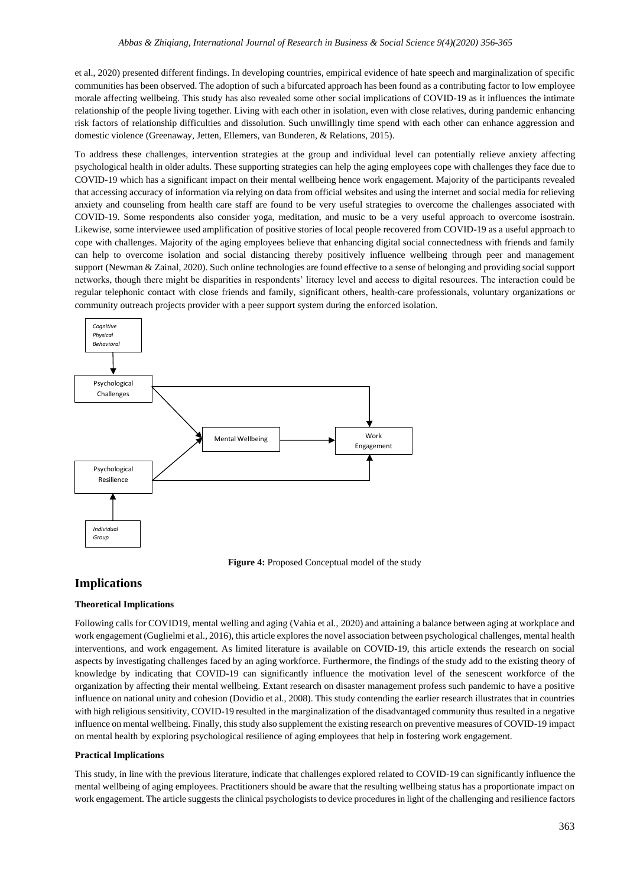et al., 2020) presented different findings. In developing countries, empirical evidence of hate speech and marginalization of specific communities has been observed. The adoption of such a bifurcated approach has been found as a contributing factor to low employee morale affecting wellbeing. This study has also revealed some other social implications of COVID-19 as it influences the intimate relationship of the people living together. Living with each other in isolation, even with close relatives, during pandemic enhancing risk factors of relationship difficulties and dissolution. Such unwillingly time spend with each other can enhance aggression and domestic violence (Greenaway, Jetten, Ellemers, van Bunderen, & Relations, 2015).

To address these challenges, intervention strategies at the group and individual level can potentially relieve anxiety affecting psychological health in older adults. These supporting strategies can help the aging employees cope with challenges they face due to COVID-19 which has a significant impact on their mental wellbeing hence work engagement. Majority of the participants revealed that accessing accuracy of information via relying on data from official websites and using the internet and social media for relieving anxiety and counseling from health care staff are found to be very useful strategies to overcome the challenges associated with COVID-19. Some respondents also consider yoga, meditation, and music to be a very useful approach to overcome isostrain. Likewise, some interviewee used amplification of positive stories of local people recovered from COVID-19 as a useful approach to cope with challenges. Majority of the aging employees believe that enhancing digital social connectedness with friends and family can help to overcome isolation and social distancing thereby positively influence wellbeing through peer and management support (Newman & Zainal, 2020). Such online technologies are found effective to a sense of belonging and providing social support networks, though there might be disparities in respondents' literacy level and access to digital resources. The interaction could be regular telephonic contact with close friends and family, significant others, health-care professionals, voluntary organizations or community outreach projects provider with a peer support system during the enforced isolation.



**Figure 4:** Proposed Conceptual model of the study

# **Implications**

#### **Theoretical Implications**

Following calls for COVID19, mental welling and aging (Vahia et al., 2020) and attaining a balance between aging at workplace and work engagement (Guglielmi et al., 2016), this article explores the novel association between psychological challenges, mental health interventions, and work engagement. As limited literature is available on COVID-19, this article extends the research on social aspects by investigating challenges faced by an aging workforce. Furthermore, the findings of the study add to the existing theory of knowledge by indicating that COVID-19 can significantly influence the motivation level of the senescent workforce of the organization by affecting their mental wellbeing. Extant research on disaster management profess such pandemic to have a positive influence on national unity and cohesion (Dovidio et al., 2008). This study contending the earlier research illustrates that in countries with high religious sensitivity, COVID-19 resulted in the marginalization of the disadvantaged community thus resulted in a negative influence on mental wellbeing. Finally, this study also supplement the existing research on preventive measures of COVID-19 impact on mental health by exploring psychological resilience of aging employees that help in fostering work engagement.

#### **Practical Implications**

This study, in line with the previous literature, indicate that challenges explored related to COVID-19 can significantly influence the mental wellbeing of aging employees. Practitioners should be aware that the resulting wellbeing status has a proportionate impact on work engagement. The article suggests the clinical psychologists to device procedures in light of the challenging and resilience factors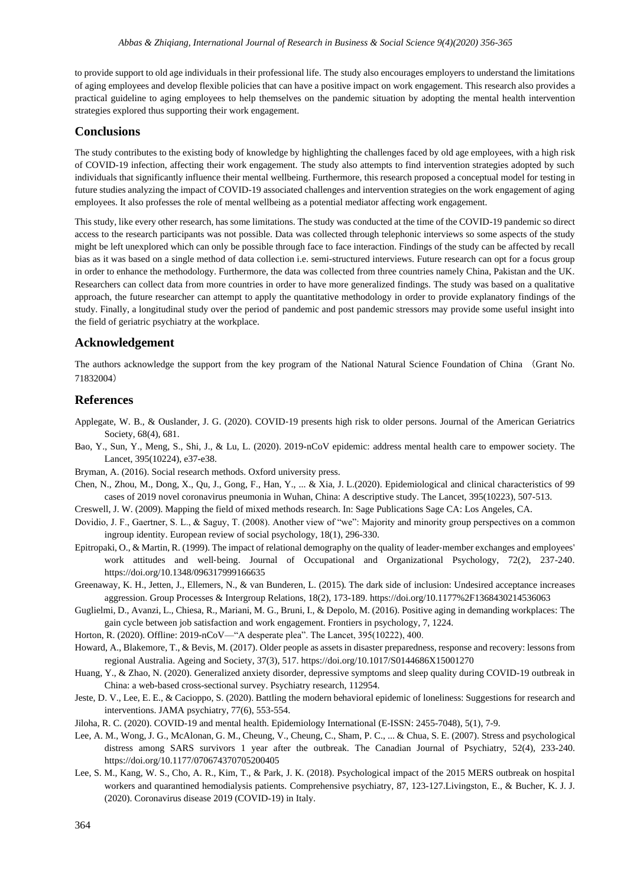to provide support to old age individuals in their professional life. The study also encourages employers to understand the limitations of aging employees and develop flexible policies that can have a positive impact on work engagement. This research also provides a practical guideline to aging employees to help themselves on the pandemic situation by adopting the mental health intervention strategies explored thus supporting their work engagement.

### **Conclusions**

The study contributes to the existing body of knowledge by highlighting the challenges faced by old age employees, with a high risk of COVID-19 infection, affecting their work engagement. The study also attempts to find intervention strategies adopted by such individuals that significantly influence their mental wellbeing. Furthermore, this research proposed a conceptual model for testing in future studies analyzing the impact of COVID-19 associated challenges and intervention strategies on the work engagement of aging employees. It also professes the role of mental wellbeing as a potential mediator affecting work engagement.

This study, like every other research, has some limitations. The study was conducted at the time of the COVID-19 pandemic so direct access to the research participants was not possible. Data was collected through telephonic interviews so some aspects of the study might be left unexplored which can only be possible through face to face interaction. Findings of the study can be affected by recall bias as it was based on a single method of data collection i.e. semi-structured interviews. Future research can opt for a focus group in order to enhance the methodology. Furthermore, the data was collected from three countries namely China, Pakistan and the UK. Researchers can collect data from more countries in order to have more generalized findings. The study was based on a qualitative approach, the future researcher can attempt to apply the quantitative methodology in order to provide explanatory findings of the study. Finally, a longitudinal study over the period of pandemic and post pandemic stressors may provide some useful insight into the field of geriatric psychiatry at the workplace.

# **Acknowledgement**

The authors acknowledge the support from the key program of the National Natural Science Foundation of China (Grant No. 71832004)

#### **References**

- Applegate, W. B., & Ouslander, J. G. (2020). COVID‐19 presents high risk to older persons. Journal of the American Geriatrics Society, 68(4), 681.
- Bao, Y., Sun, Y., Meng, S., Shi, J., & Lu, L. (2020). 2019-nCoV epidemic: address mental health care to empower society. The Lancet, 395(10224), e37-e38.
- Bryman, A. (2016). Social research methods. Oxford university press.
- Chen, N., Zhou, M., Dong, X., Qu, J., Gong, F., Han, Y., ... & Xia, J. L.(2020). Epidemiological and clinical characteristics of 99 cases of 2019 novel coronavirus pneumonia in Wuhan, China: A descriptive study. The Lancet, 395(10223), 507-513.
- Creswell, J. W. (2009). Mapping the field of mixed methods research. In: Sage Publications Sage CA: Los Angeles, CA.
- Dovidio, J. F., Gaertner, S. L., & Saguy, T. (2008). Another view of "we": Majority and minority group perspectives on a common ingroup identity. European review of social psychology, 18(1), 296-330.
- Epitropaki, O., & Martin, R. (1999). The impact of relational demography on the quality of leader‐member exchanges and employees' work attitudes and well-being. Journal of Occupational and Organizational Psychology, 72(2), 237-240. https://doi.org/10.1348/096317999166635
- Greenaway, K. H., Jetten, J., Ellemers, N., & van Bunderen, L. (2015). The dark side of inclusion: Undesired acceptance increases aggression. Group Processes & Intergroup Relations, 18(2), 173-189. https://doi.org/10.1177%2F1368430214536063
- Guglielmi, D., Avanzi, L., Chiesa, R., Mariani, M. G., Bruni, I., & Depolo, M. (2016). Positive aging in demanding workplaces: The gain cycle between job satisfaction and work engagement. Frontiers in psychology, 7, 1224.
- Horton, R. (2020). Offline: 2019-nCoV—"A desperate plea". The Lancet, 395(10222), 400.
- Howard, A., Blakemore, T., & Bevis, M. (2017). Older people as assets in disaster preparedness, response and recovery: lessons from regional Australia. Ageing and Society, 37(3), 517. https://doi.org/10.1017/S0144686X15001270
- Huang, Y., & Zhao, N. (2020). Generalized anxiety disorder, depressive symptoms and sleep quality during COVID-19 outbreak in China: a web-based cross-sectional survey. Psychiatry research, 112954.
- Jeste, D. V., Lee, E. E., & Cacioppo, S. (2020). Battling the modern behavioral epidemic of loneliness: Suggestions for research and interventions. JAMA psychiatry, 77(6), 553-554.
- Jiloha, R. C. (2020). COVID-19 and mental health. Epidemiology International (E-ISSN: 2455-7048), 5(1), 7-9.
- Lee, A. M., Wong, J. G., McAlonan, G. M., Cheung, V., Cheung, C., Sham, P. C., ... & Chua, S. E. (2007). Stress and psychological distress among SARS survivors 1 year after the outbreak. The Canadian Journal of Psychiatry, 52(4), 233-240. https://doi.org/10.1177/070674370705200405
- Lee, S. M., Kang, W. S., Cho, A. R., Kim, T., & Park, J. K. (2018). Psychological impact of the 2015 MERS outbreak on hospital workers and quarantined hemodialysis patients. Comprehensive psychiatry, 87, 123-127.Livingston, E., & Bucher, K. J. J. (2020). Coronavirus disease 2019 (COVID-19) in Italy.